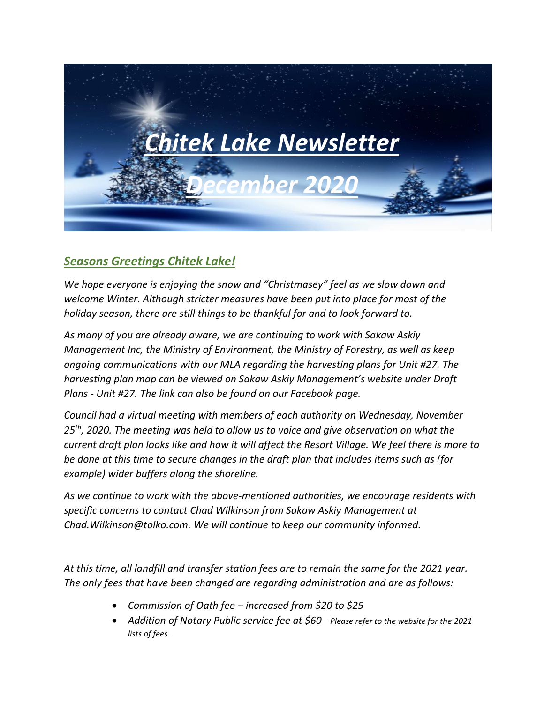

# *Seasons Greetings Chitek Lake!*

*We hope everyone is enjoying the snow and "Christmasey" feel as we slow down and welcome Winter. Although stricter measures have been put into place for most of the holiday season, there are still things to be thankful for and to look forward to.*

*As many of you are already aware, we are continuing to work with Sakaw Askiy Management Inc, the Ministry of Environment, the Ministry of Forestry, as well as keep ongoing communications with our MLA regarding the harvesting plans for Unit #27. The harvesting plan map can be viewed on Sakaw Askiy Management's website under Draft Plans - Unit #27. The link can also be found on our Facebook page.*

*Council had a virtual meeting with members of each authority on Wednesday, November 25th, 2020. The meeting was held to allow us to voice and give observation on what the current draft plan looks like and how it will affect the Resort Village. We feel there is more to be done at this time to secure changes in the draft plan that includes items such as (for example) wider buffers along the shoreline.* 

*As we continue to work with the above-mentioned authorities, we encourage residents with specific concerns to contact Chad Wilkinson from Sakaw Askiy Management at Chad.Wilkinson@tolko.com. We will continue to keep our community informed.*

*At this time, all landfill and transfer station fees are to remain the same for the 2021 year. The only fees that have been changed are regarding administration and are as follows:*

- *Commission of Oath fee – increased from \$20 to \$25*
- *Addition of Notary Public service fee at \$60 - Please refer to the website for the 2021 lists of fees.*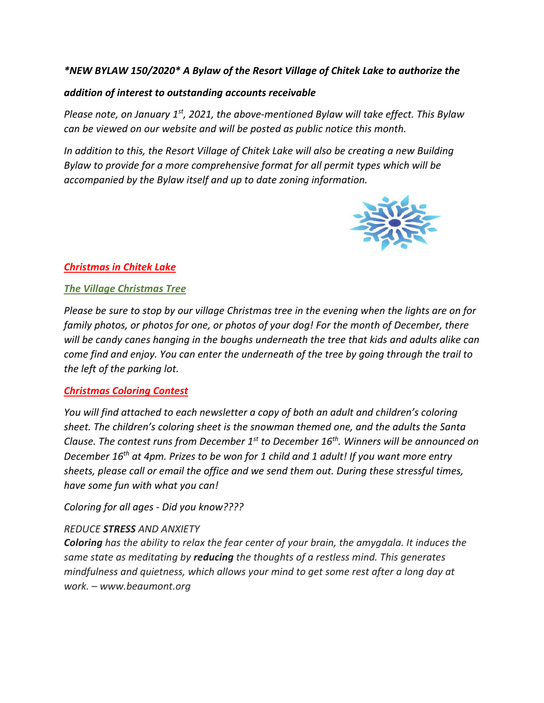## *\*NEW BYLAW 150/2020\* A Bylaw of the Resort Village of Chitek Lake to authorize the*

#### *addition of interest to outstanding accounts receivable*

*Please note, on January 1st, 2021, the above-mentioned Bylaw will take effect. This Bylaw can be viewed on our website and will be posted as public notice this month.*

*In addition to this, the Resort Village of Chitek Lake will also be creating a new Building Bylaw to provide for a more comprehensive format for all permit types which will be accompanied by the Bylaw itself and up to date zoning information.*



# *Christmas in Chitek Lake*

### *The Village Christmas Tree*

*Please be sure to stop by our village Christmas tree in the evening when the lights are on for family photos, or photos for one, or photos of your dog! For the month of December, there will be candy canes hanging in the boughs underneath the tree that kids and adults alike can come find and enjoy. You can enter the underneath of the tree by going through the trail to the left of the parking lot.* 

# *Christmas Coloring Contest*

*You will find attached to each newsletter a copy of both an adult and children's coloring sheet. The children's coloring sheet is the snowman themed one, and the adults the Santa Clause. The contest runs from December 1st to December 16th. Winners will be announced on December 16th at 4pm. Prizes to be won for 1 child and 1 adult! If you want more entry sheets, please call or email the office and we send them out. During these stressful times, have some fun with what you can!*

*Coloring for all ages - Did you know????*

#### *REDUCE STRESS AND ANXIETY*

*Coloring has the ability to relax the fear center of your brain, the amygdala. It induces the same state as meditating by reducing the thoughts of a restless mind. This generates mindfulness and quietness, which allows your mind to get some rest after a long day at work. – www.beaumont.org*